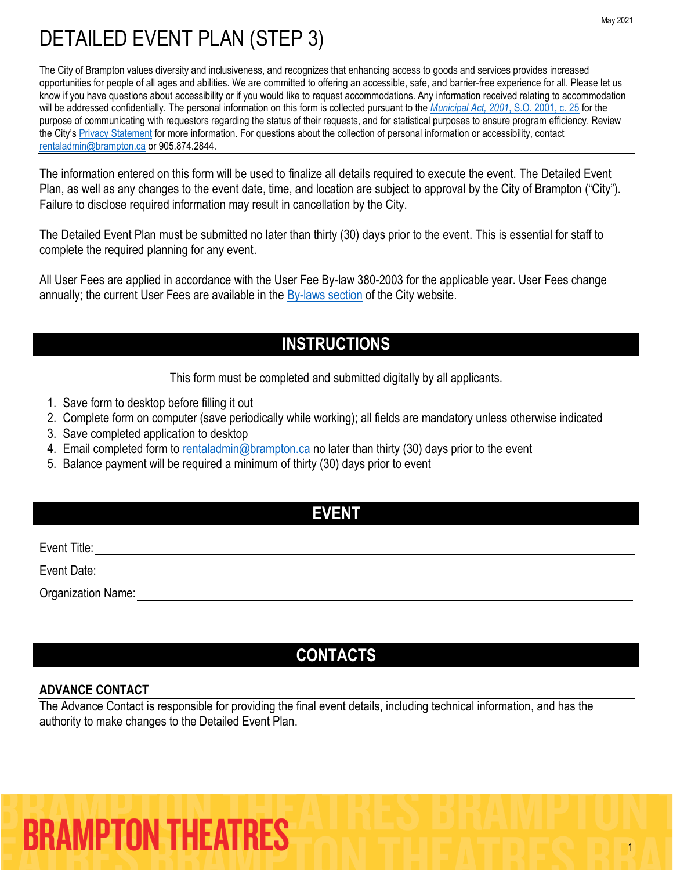The City of Brampton values diversity and inclusiveness, and recognizes that enhancing access to goods and services provides increased opportunities for people of all ages and abilities. We are committed to offering an accessible, safe, and barrier-free experience for all. Please let us know if you have questions about accessibility or if you would like to request accommodations. Any information received relating to accommodation will be addressed confidentially. The personal information on this form is collected pursuant to the *[Municipal Act, 2001](https://www.ontario.ca/laws/statute/01m25)*, S.O. 2001, c. 25 for the purpose of communicating with requestors regarding the status of their requests, and for statistical purposes to ensure program efficiency. Review the City's [Privacy Statement](http://www.brampton.ca/en/Info-Centre/Pages/Privacy-Statement.aspx) for more information. For questions about the collection of personal information or accessibility, contact [rentaladmin@brampton.ca](mailto:rentaladmin@brampton.ca) or 905.874.2844.

The information entered on this form will be used to finalize all details required to execute the event. The Detailed Event Plan, as well as any changes to the event date, time, and location are subject to approval by the City of Brampton ("City"). Failure to disclose required information may result in cancellation by the City.

The Detailed Event Plan must be submitted no later than thirty (30) days prior to the event. This is essential for staff to complete the required planning for any event.

All User Fees are applied in accordance with the User Fee By-law 380-2003 for the applicable year. User Fees change annually; the current User Fees are available in the  $\frac{By-laws}{s}$  section of the City website.

### **INSTRUCTIONS**

This form must be completed and submitted digitally by all applicants.

- 1. Save form to desktop before filling it out
- 2. Complete form on computer (save periodically while working); all fields are mandatory unless otherwise indicated
- 3. Save completed application to desktop
- 4. Email completed form to [rentaladmin@brampton.ca](mailto:rentaladmin@brampton.ca) no later than thirty (30) days prior to the event
- 5. Balance payment will be required a minimum of thirty (30) days prior to event

### **EVENT**

Event Title:

Event Date:

Organization Name:

### **CONTACTS**

### **ADVANCE CONTACT**

The Advance Contact is responsible for providing the final event details, including technical information, and has the authority to make changes to the Detailed Event Plan.

# **BRAMPTON THEATRES**

1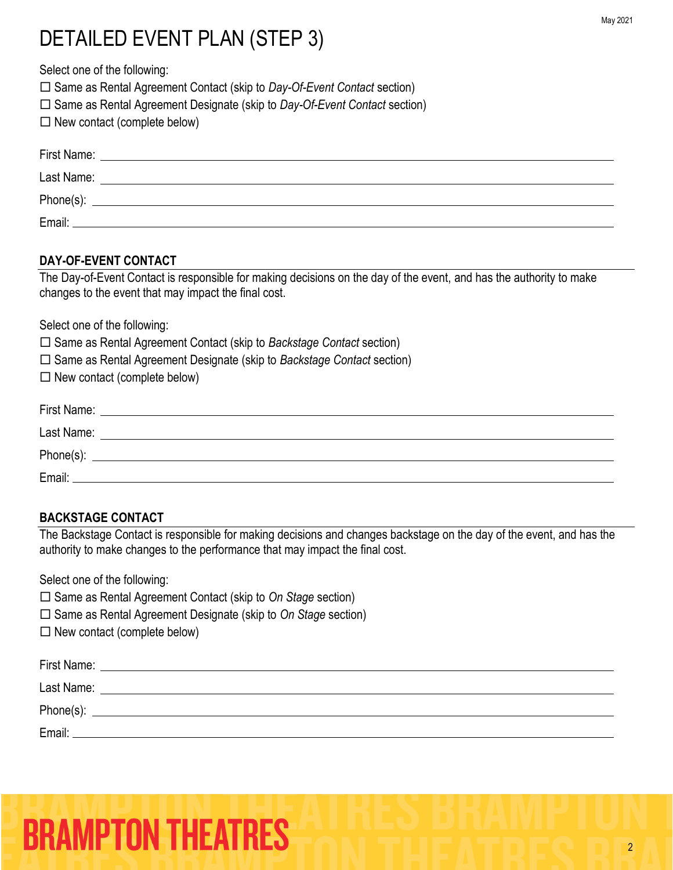Select one of the following:

□ Same as Rental Agreement Contact (skip to *Day-Of-Event Contact* section)

- □ Same as Rental Agreement Designate (skip to *Day-Of-Event Contact* section)
- $\square$  New contact (complete below)

| First Name: |  |
|-------------|--|
| Last Name:  |  |
|             |  |
| Email:      |  |

### **DAY-OF-EVENT CONTACT**

The Day-of-Event Contact is responsible for making decisions on the day of the event, and has the authority to make changes to the event that may impact the final cost.

Select one of the following:

Same as Rental Agreement Contact (skip to *Backstage Contact* section)

- Same as Rental Agreement Designate (skip to *Backstage Contact* section)
- $\square$  New contact (complete below)

| First Name: |  |
|-------------|--|
| Last Name:  |  |
| Phone(s):   |  |
| Email:      |  |

### **BACKSTAGE CONTACT**

The Backstage Contact is responsible for making decisions and changes backstage on the day of the event, and has the authority to make changes to the performance that may impact the final cost.

Select one of the following:

□ Same as Rental Agreement Contact (skip to *On Stage* section)

□ Same as Rental Agreement Designate (skip to *On Stage* section)

 $\Box$  New contact (complete below)

| First Name: |  |
|-------------|--|
| Last Name:  |  |
|             |  |
| Email:      |  |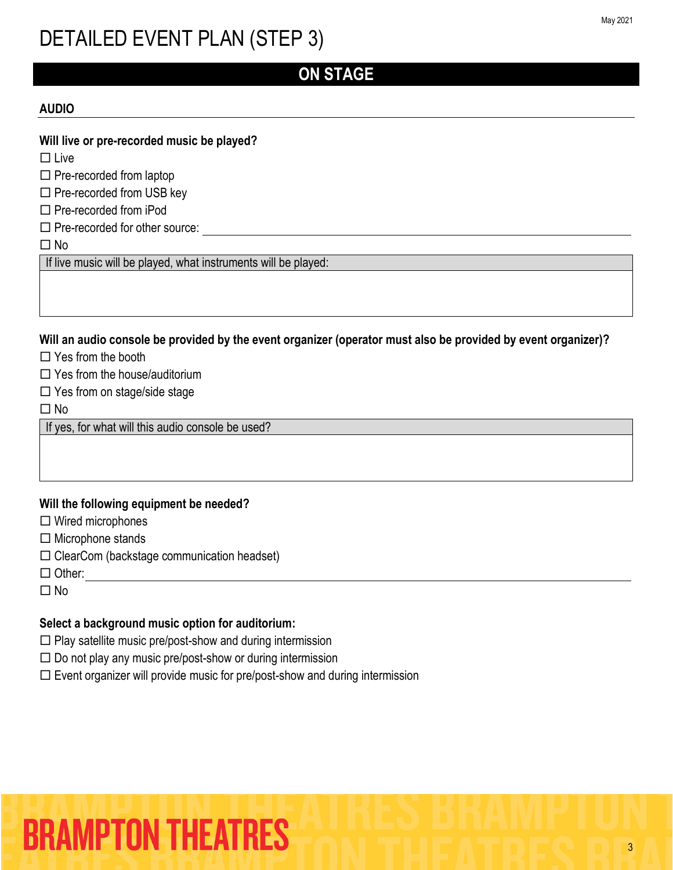### **ON STAGE**

#### **AUDIO**

#### **Will live or pre-recorded music be played?**

 $\square$  Live

 $\square$  Pre-recorded from laptop

 $\square$  Pre-recorded from USB key

 $\Box$  Pre-recorded from iPod

 $\square$  Pre-recorded for other source:

No

If live music will be played, what instruments will be played:

**Will an audio console be provided by the event organizer (operator must also be provided by event organizer)?**

 $\Box$  Yes from the booth

 $\Box$  Yes from the house/auditorium

 $\square$  Yes from on stage/side stage

 $\Box$  No

If yes, for what will this audio console be used?

### **Will the following equipment be needed?**

 $\Box$  Wired microphones

 $\Box$  Microphone stands

 $\square$  ClearCom (backstage communication headset)

 $\Box$  Other:

 $\Box$  No

### **Select a background music option for auditorium:**

 $\Box$  Play satellite music pre/post-show and during intermission

 $\square$  Do not play any music pre/post-show or during intermission

 $\square$  Event organizer will provide music for pre/post-show and during intermission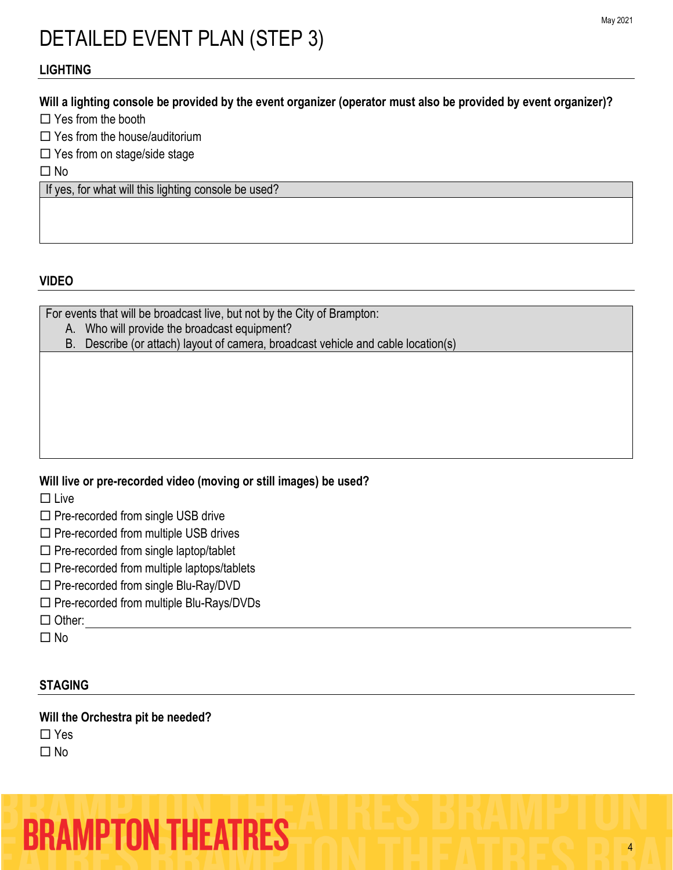### **LIGHTING**

### **Will a lighting console be provided by the event organizer (operator must also be provided by event organizer)?**

Yes from the booth

Yes from the house/auditorium

 $\Box$  Yes from on stage/side stage

 $\Box$  No

If yes, for what will this lighting console be used?

### **VIDEO**

For events that will be broadcast live, but not by the City of Brampton:

A. Who will provide the broadcast equipment?

B. Describe (or attach) layout of camera, broadcast vehicle and cable location(s)

### **Will live or pre-recorded video (moving or still images) be used?**

 $\square$  Live

 $\square$  Pre-recorded from single USB drive

- $\square$  Pre-recorded from multiple USB drives
- $\square$  Pre-recorded from single laptop/tablet
- $\square$  Pre-recorded from multiple laptops/tablets
- $\square$  Pre-recorded from single Blu-Ray/DVD
- $\square$  Pre-recorded from multiple Blu-Rays/DVDs

□ Other:

 $\Box$  No

### **STAGING**

**Will the Orchestra pit be needed?**

 $\Box$  Yes

 $\Box$  No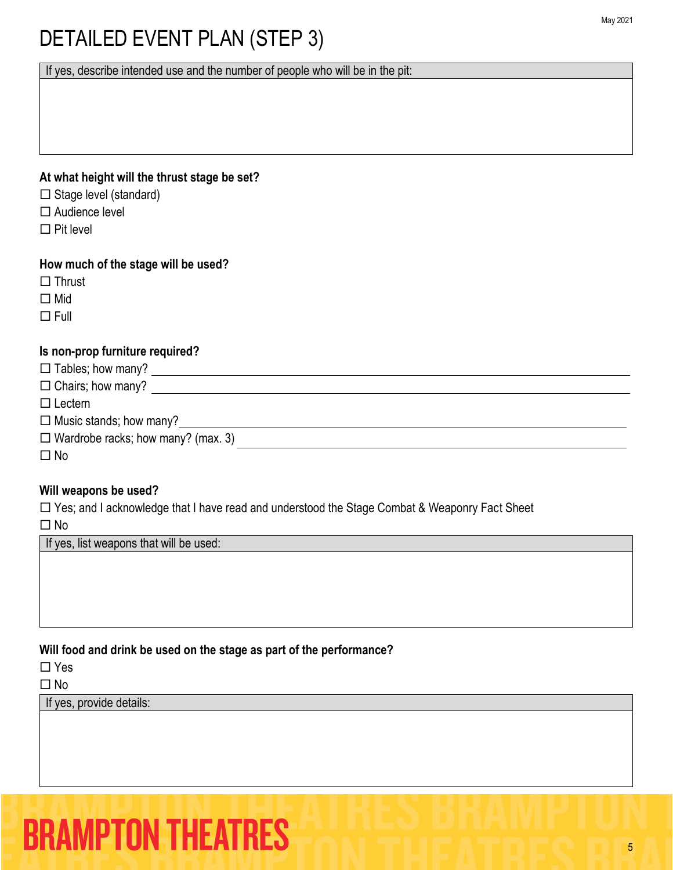If yes, describe intended use and the number of people who will be in the pit:

### **At what height will the thrust stage be set?**

- $\Box$  Stage level (standard)
- □ Audience level
- $\Box$  Pit level

### **How much of the stage will be used?**

- $\Box$  Thrust
- □ Mid
- $\Box$ Full

### **Is non-prop furniture required?**

| $\Box$ Tables; how many?                  |  |
|-------------------------------------------|--|
| $\Box$ Chairs; how many?                  |  |
| $\Box$ Lectern                            |  |
| $\Box$ Music stands; how many?            |  |
| $\Box$ Wardrobe racks; how many? (max. 3) |  |
| $\square$ No                              |  |

### **Will weapons be used?**

□ Yes; and I acknowledge that I have read and understood the Stage Combat & Weaponry Fact Sheet

□ No

If yes, list weapons that will be used:

### **Will food and drink be used on the stage as part of the performance?**

 $\Box$  Yes

□ No

If yes, provide details: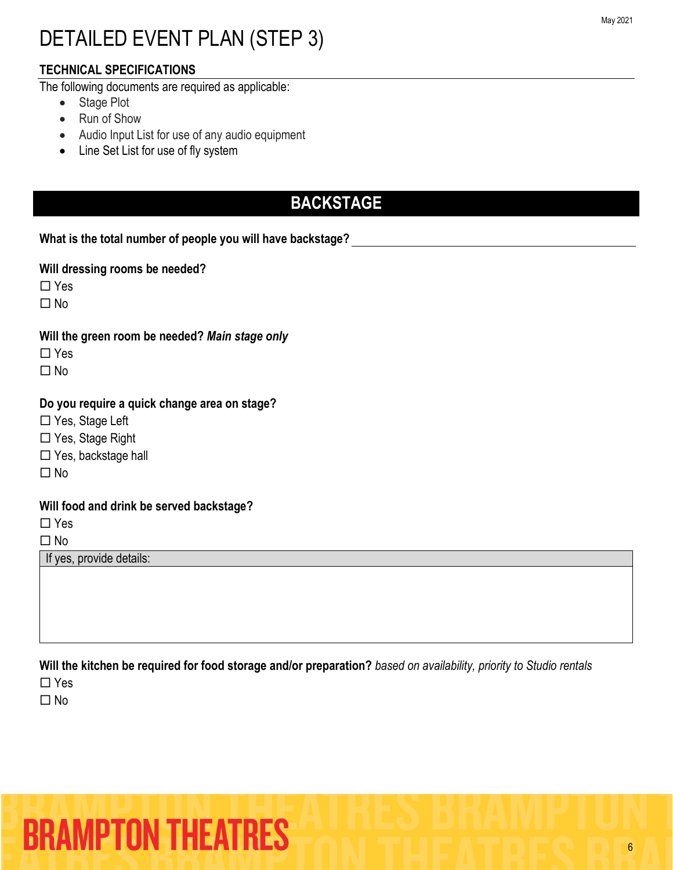### **TECHNICAL SPECIFICATIONS**

The following documents are required as applicable:

- Stage Plot
- Run of Show
- Audio Input List for use of any audio equipment
- Line Set List for use of fly system

### **BACKSTAGE**

**What is the total number of people you will have backstage?**

**Will dressing rooms be needed?**

□ Yes

 $\Box$  No

**Will the green room be needed?** *Main stage only*

□ Yes

 $\Box$  No

### **Do you require a quick change area on stage?**

□ Yes, Stage Left

□ Yes, Stage Right

□ Yes, backstage hall

 $\Box$  No

### **Will food and drink be served backstage?**

□ Yes

 $\Box$  No

If yes, provide details:

**Will the kitchen be required for food storage and/or preparation?** *based on availability, priority to Studio rentals*

□ Yes

 $\Box$  No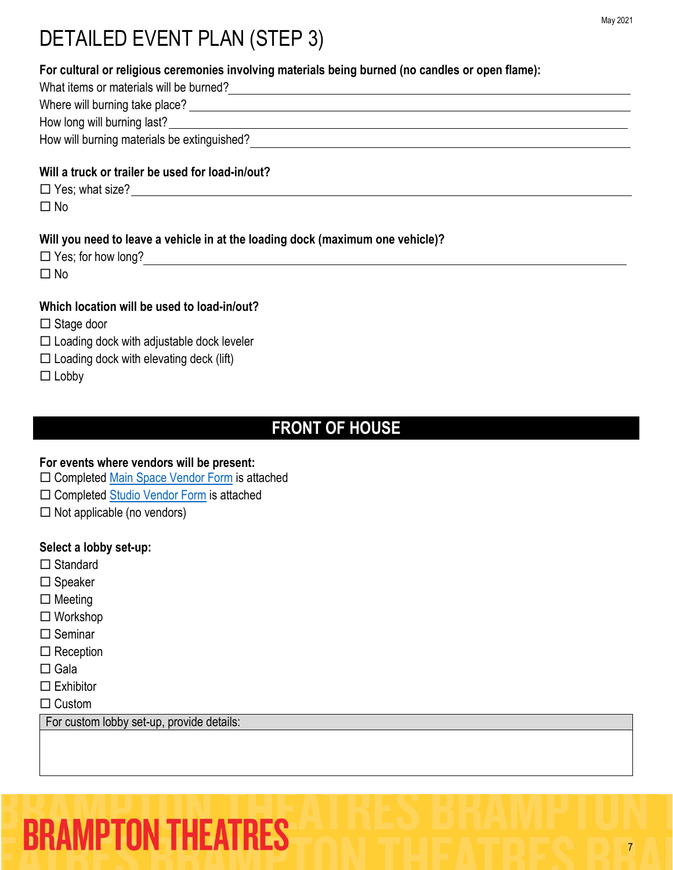| For cultural or religious ceremonies involving materials being burned (no candles or open flame): |
|---------------------------------------------------------------------------------------------------|
| What items or materials will be burned?<br><u> What items or materials will be burned?</u>        |
|                                                                                                   |
|                                                                                                   |
| How will burning materials be extinguished?                                                       |
| Will a truck or trailer be used for load-in/out?                                                  |
|                                                                                                   |
| $\Box$ No                                                                                         |
| Will you need to leave a vehicle in at the loading dock (maximum one vehicle)?                    |
| $\square$ No                                                                                      |
| Which location will be used to load-in/out?                                                       |
| $\Box$ Stage door                                                                                 |
| $\Box$ Loading dock with adjustable dock leveler                                                  |
| $\Box$ Loading dock with elevating deck (lift)                                                    |
| $\Box$ Lobby                                                                                      |

### **FRONT OF HOUSE**

### **For events where vendors will be present:**

- □ Completed [Main Space Vendor Form](https://tickets.brampton.ca/Online/default.asp?BOparam::WScontent::loadArticle::permalink=RentTheRose&BOparam::WScontent::loadArticle::context_id=) is attached
- □ Completed [Studio Vendor Form](https://tickets.brampton.ca/Online/default.asp?BOparam::WScontent::loadArticle::permalink=RentTheRose&BOparam::WScontent::loadArticle::context_id=) is attached
- $\Box$  Not applicable (no vendors)

### **Select a lobby set-up:**

- □ Standard
- $\square$  Speaker
- $\square$  Meeting
- Workshop
- $\square$  Seminar
- $\square$  Reception
- $\square$  Gala
- $\square$  Exhibitor

 $\Box$  Custom

For custom lobby set-up, provide details: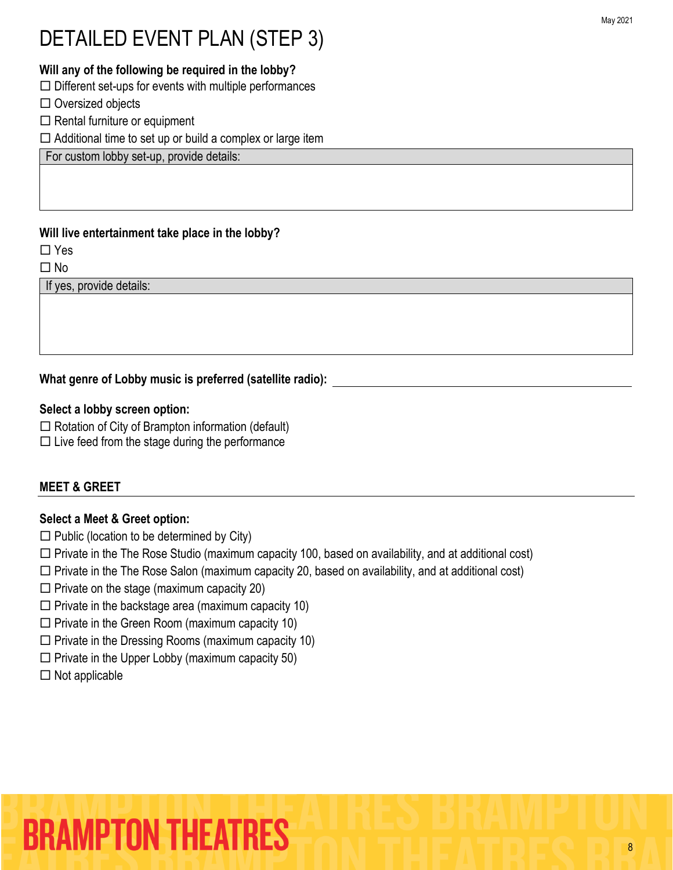### **Will any of the following be required in the lobby?**

 $\Box$  Different set-ups for events with multiple performances

- $\Box$  Oversized objects
- $\Box$  Rental furniture or equipment

 $\Box$  Additional time to set up or build a complex or large item

For custom lobby set-up, provide details:

### **Will live entertainment take place in the lobby?**

□ Yes

 $\Box$  No

If yes, provide details:

### **What genre of Lobby music is preferred (satellite radio):**

### **Select a lobby screen option:**

 $\Box$  Rotation of City of Brampton information (default)

 $\square$  Live feed from the stage during the performance

### **MEET & GREET**

### **Select a Meet & Greet option:**

- $\square$  Public (location to be determined by City)
- $\Box$  Private in the The Rose Studio (maximum capacity 100, based on availability, and at additional cost)
- $\Box$  Private in the The Rose Salon (maximum capacity 20, based on availability, and at additional cost)
- $\square$  Private on the stage (maximum capacity 20)
- $\square$  Private in the backstage area (maximum capacity 10)
- $\square$  Private in the Green Room (maximum capacity 10)
- $\square$  Private in the Dressing Rooms (maximum capacity 10)
- $\square$  Private in the Upper Lobby (maximum capacity 50)
- $\Box$  Not applicable